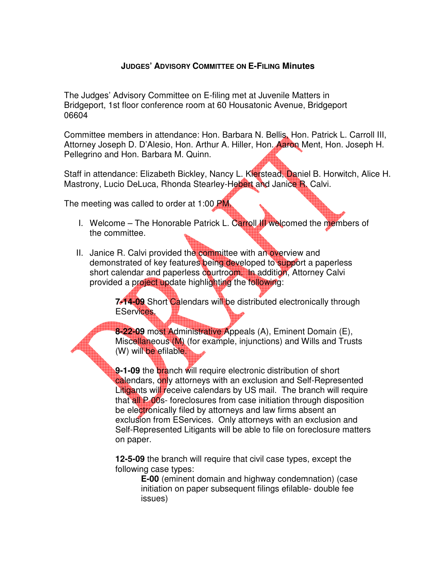## **JUDGES' ADVISORY COMMITTEE ON E-FILING Minutes**

The Judges' Advisory Committee on E-filing met at Juvenile Matters in Bridgeport, 1st floor conference room at 60 Housatonic Avenue, Bridgeport 06604

Committee members in attendance: Hon. Barbara N. Bellis, Hon. Patrick L. Carroll III, Attorney Joseph D. D'Alesio, Hon. Arthur A. Hiller, Hon. Aaron Ment, Hon. Joseph H. Pellegrino and Hon. Barbara M. Quinn.

Staff in attendance: Elizabeth Bickley, Nancy L. Kierstead, Daniel B. Horwitch, Alice H. Mastrony, Lucio DeLuca, Rhonda Stearley-Hebert and Janice R. Calvi.

The meeting was called to order at 1:00 PM.

- I. Welcome The Honorable Patrick L. Carroll III welcomed the members of the committee.
- II. Janice R. Calvi provided the committee with an overview and demonstrated of key features being developed to support a paperless short calendar and paperless courtroom. In addition, Attorney Calvi provided a project update highlighting the following:

**7-14-09** Short Calendars will be distributed electronically through EServices.

**8-22-09** most Administrative Appeals (A), Eminent Domain (E), Miscellaneous (M) (for example, injunctions) and Wills and Trusts (W) will be efilable.

**9-1-09** the branch will require electronic distribution of short calendars, only attorneys with an exclusion and Self-Represented Litigants will receive calendars by US mail. The branch will require that all P 00s- foreclosures from case initiation through disposition be electronically filed by attorneys and law firms absent an exclusion from EServices. Only attorneys with an exclusion and Self-Represented Litigants will be able to file on foreclosure matters on paper.

**12-5-09** the branch will require that civil case types, except the following case types:

**E-00** (eminent domain and highway condemnation) (case initiation on paper subsequent filings efilable- double fee issues)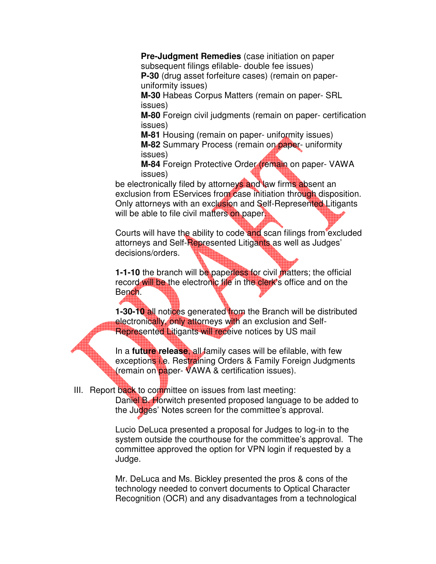**Pre-Judgment Remedies** (case initiation on paper subsequent filings efilable- double fee issues)

**P-30** (drug asset forfeiture cases) (remain on paperuniformity issues)

**M-30** Habeas Corpus Matters (remain on paper- SRL issues)

**M-80** Foreign civil judgments (remain on paper- certification issues)

**M-81** Housing (remain on paper- uniformity issues) **M-82** Summary Process (remain on paper- uniformity issues)

**M-84** Foreign Protective Order (remain on paper- VAWA issues)

be electronically filed by attorneys and law firms absent an exclusion from EServices from case initiation through disposition. Only attorneys with an exclusion and Self-Represented Litigants will be able to file civil matters on paper.

Courts will have the ability to code and scan filings from excluded attorneys and Self-Represented Litigants as well as Judges' decisions/orders.

**1-1-10** the branch will be paperless for civil matters; the official record will be the electronic file in the clerk's office and on the Bench.

**1-30-10 all notices generated from the Branch will be distributed** electronically, only attorneys with an exclusion and Self-Represented Litigants will receive notices by US mail

In a **future release**, all family cases will be efilable, with few exceptions i.e. Restraining Orders & Family Foreign Judgments (remain on paper- VAWA & certification issues).

III. Report back to committee on issues from last meeting:

Daniel B. Horwitch presented proposed language to be added to the Judges' Notes screen for the committee's approval.

Lucio DeLuca presented a proposal for Judges to log-in to the system outside the courthouse for the committee's approval. The committee approved the option for VPN login if requested by a Judge.

Mr. DeLuca and Ms. Bickley presented the pros & cons of the technology needed to convert documents to Optical Character Recognition (OCR) and any disadvantages from a technological